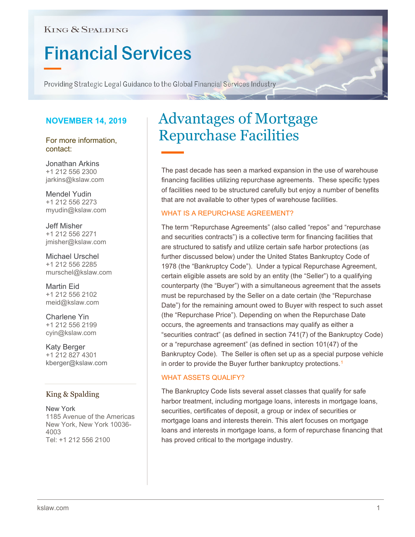### **KING & SPALDING**

# **Financial Services**

Providing Strategic Legal Guidance to the Global Financial Services Industry

#### **NOVEMBER 14, 2019**

For more information, contact:

Jonathan Arkins +1 212 556 2300 [jarkins@kslaw.com](mailto:jarkins@kslaw.com)

Mendel Yudin +1 212 556 2273 [myudin@kslaw.com](mailto:myudin@kslaw.com)

Jeff Misher +1 212 556 2271 [jmisher@kslaw.com](mailto:jmisher@kslaw.com)

Michael Urschel +1 212 556 2285 murschel@kslaw.com

Martin Eid +1 212 556 2102 [meid@kslaw.com](mailto:meid@kslaw.com)

Charlene Yin +1 212 556 2199 [cyin@kslaw.com](mailto:cyin@kslaw.com)

Katy Berger +1 212 827 4301 kberger@kslaw.com

#### King & Spalding

New York 1185 Avenue of the Americas New York, New York 10036- 4003 Tel: +1 212 556 2100

## Advantages of Mortgage Repurchase Facilities

The past decade has seen a marked expansion in the use of warehouse financing facilities utilizing repurchase agreements. These specific types of facilities need to be structured carefully but enjoy a number of benefits that are not available to other types of warehouse facilities.

#### WHAT IS A REPURCHASE AGREEMENT?

The term "Repurchase Agreements" (also called "repos" and "repurchase and securities contracts") is a collective term for financing facilities that are structured to satisfy and utilize certain safe harbor protections (as further discussed below) under the United States Bankruptcy Code of 1978 (the "Bankruptcy Code"). Under a typical Repurchase Agreement, certain eligible assets are sold by an entity (the "Seller") to a qualifying counterparty (the "Buyer") with a simultaneous agreement that the assets must be repurchased by the Seller on a date certain (the "Repurchase Date") for the remaining amount owed to Buyer with respect to such asset (the "Repurchase Price"). Depending on when the Repurchase Date occurs, the agreements and transactions may qualify as either a "securities contract" (as defined in section 741(7) of the Bankruptcy Code) or a "repurchase agreement" (as defined in section 101(47) of the Bankruptcy Code). The Seller is often set up as a special purpose vehicle in order to provide the Buyer further bankruptcy protections.<sup>[1](#page-3-0)</sup>

#### WHAT ASSETS QUALIFY?

The Bankruptcy Code lists several asset classes that qualify for safe harbor treatment, including mortgage loans, interests in mortgage loans, securities, certificates of deposit, a group or index of securities or mortgage loans and interests therein. This alert focuses on mortgage loans and interests in mortgage loans, a form of repurchase financing that has proved critical to the mortgage industry.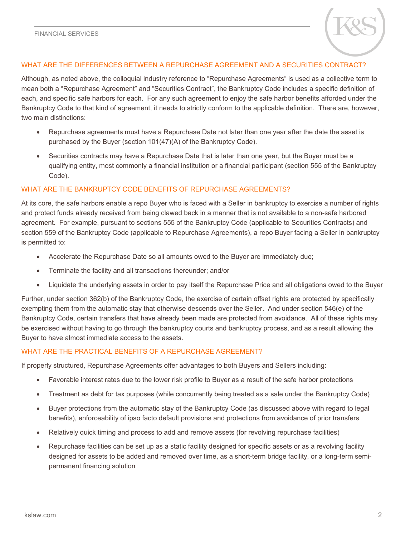

#### WHAT ARE THE DIFFERENCES BETWEEN A REPURCHASE AGREEMENT AND A SECURITIES CONTRACT?

Although, as noted above, the colloquial industry reference to "Repurchase Agreements" is used as a collective term to mean both a "Repurchase Agreement" and "Securities Contract", the Bankruptcy Code includes a specific definition of each, and specific safe harbors for each. For any such agreement to enjoy the safe harbor benefits afforded under the Bankruptcy Code to that kind of agreement, it needs to strictly conform to the applicable definition. There are, however, two main distinctions:

- Repurchase agreements must have a Repurchase Date not later than one year after the date the asset is purchased by the Buyer (section 101(47)(A) of the Bankruptcy Code).
- Securities contracts may have a Repurchase Date that is later than one year, but the Buyer must be a qualifying entity, most commonly a financial institution or a financial participant (section 555 of the Bankruptcy Code).

#### WHAT ARE THE BANKRUPTCY CODE BENEFITS OF REPURCHASE AGREEMENTS?

At its core, the safe harbors enable a repo Buyer who is faced with a Seller in bankruptcy to exercise a number of rights and protect funds already received from being clawed back in a manner that is not available to a non-safe harbored agreement. For example, pursuant to sections 555 of the Bankruptcy Code (applicable to Securities Contracts) and section 559 of the Bankruptcy Code (applicable to Repurchase Agreements), a repo Buyer facing a Seller in bankruptcy is permitted to:

- Accelerate the Repurchase Date so all amounts owed to the Buyer are immediately due;
- Terminate the facility and all transactions thereunder; and/or
- Liquidate the underlying assets in order to pay itself the Repurchase Price and all obligations owed to the Buyer

Further, under section 362(b) of the Bankruptcy Code, the exercise of certain offset rights are protected by specifically exempting them from the automatic stay that otherwise descends over the Seller. And under section 546(e) of the Bankruptcy Code, certain transfers that have already been made are protected from avoidance. All of these rights may be exercised without having to go through the bankruptcy courts and bankruptcy process, and as a result allowing the Buyer to have almost immediate access to the assets.

#### WHAT ARE THE PRACTICAL BENEFITS OF A REPURCHASE AGREEMENT?

If properly structured, Repurchase Agreements offer advantages to both Buyers and Sellers including:

- Favorable interest rates due to the lower risk profile to Buyer as a result of the safe harbor protections
- Treatment as debt for tax purposes (while concurrently being treated as a sale under the Bankruptcy Code)
- Buyer protections from the automatic stay of the Bankruptcy Code (as discussed above with regard to legal benefits), enforceability of ipso facto default provisions and protections from avoidance of prior transfers
- Relatively quick timing and process to add and remove assets (for revolving repurchase facilities)
- Repurchase facilities can be set up as a static facility designed for specific assets or as a revolving facility designed for assets to be added and removed over time, as a short-term bridge facility, or a long-term semipermanent financing solution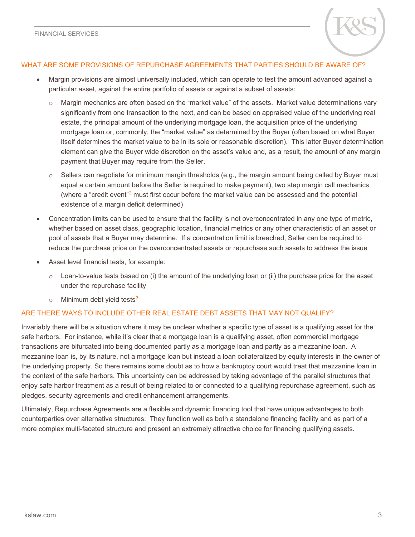

#### WHAT ARE SOME PROVISIONS OF REPURCHASE AGREEMENTS THAT PARTIES SHOULD BE AWARE OF?

- Margin provisions are almost universally included, which can operate to test the amount advanced against a particular asset, against the entire portfolio of assets or against a subset of assets:
	- o Margin mechanics are often based on the "market value" of the assets. Market value determinations vary significantly from one transaction to the next, and can be based on appraised value of the underlying real estate, the principal amount of the underlying mortgage loan, the acquisition price of the underlying mortgage loan or, commonly, the "market value" as determined by the Buyer (often based on what Buyer itself determines the market value to be in its sole or reasonable discretion). This latter Buyer determination element can give the Buyer wide discretion on the asset's value and, as a result, the amount of any margin payment that Buyer may require from the Seller.
	- $\circ$  Sellers can negotiate for minimum margin thresholds (e.g., the margin amount being called by Buyer must equal a certain amount before the Seller is required to make payment), two step margin call mechanics (where a "credit event"[2](#page-3-1) must first occur before the market value can be assessed and the potential existence of a margin deficit determined)
- Concentration limits can be used to ensure that the facility is not overconcentrated in any one type of metric, whether based on asset class, geographic location, financial metrics or any other characteristic of an asset or pool of assets that a Buyer may determine. If a concentration limit is breached, Seller can be required to reduce the purchase price on the overconcentrated assets or repurchase such assets to address the issue
- Asset level financial tests, for example:
	- $\circ$  Loan-to-value tests based on (i) the amount of the underlying loan or (ii) the purchase price for the asset under the repurchase facility
	- $\circ$  Minimum debt yield tests<sup>[3](#page-3-2)</sup>

#### ARE THERE WAYS TO INCLUDE OTHER REAL ESTATE DEBT ASSETS THAT MAY NOT QUALIFY?

Invariably there will be a situation where it may be unclear whether a specific type of asset is a qualifying asset for the safe harbors. For instance, while it's clear that a mortgage loan is a qualifying asset, often commercial mortgage transactions are bifurcated into being documented partly as a mortgage loan and partly as a mezzanine loan. A mezzanine loan is, by its nature, not a mortgage loan but instead a loan collateralized by equity interests in the owner of the underlying property. So there remains some doubt as to how a bankruptcy court would treat that mezzanine loan in the context of the safe harbors. This uncertainty can be addressed by taking advantage of the parallel structures that enjoy safe harbor treatment as a result of being related to or connected to a qualifying repurchase agreement, such as pledges, security agreements and credit enhancement arrangements.

Ultimately, Repurchase Agreements are a flexible and dynamic financing tool that have unique advantages to both counterparties over alternative structures. They function well as both a standalone financing facility and as part of a more complex multi-faceted structure and present an extremely attractive choice for financing qualifying assets.